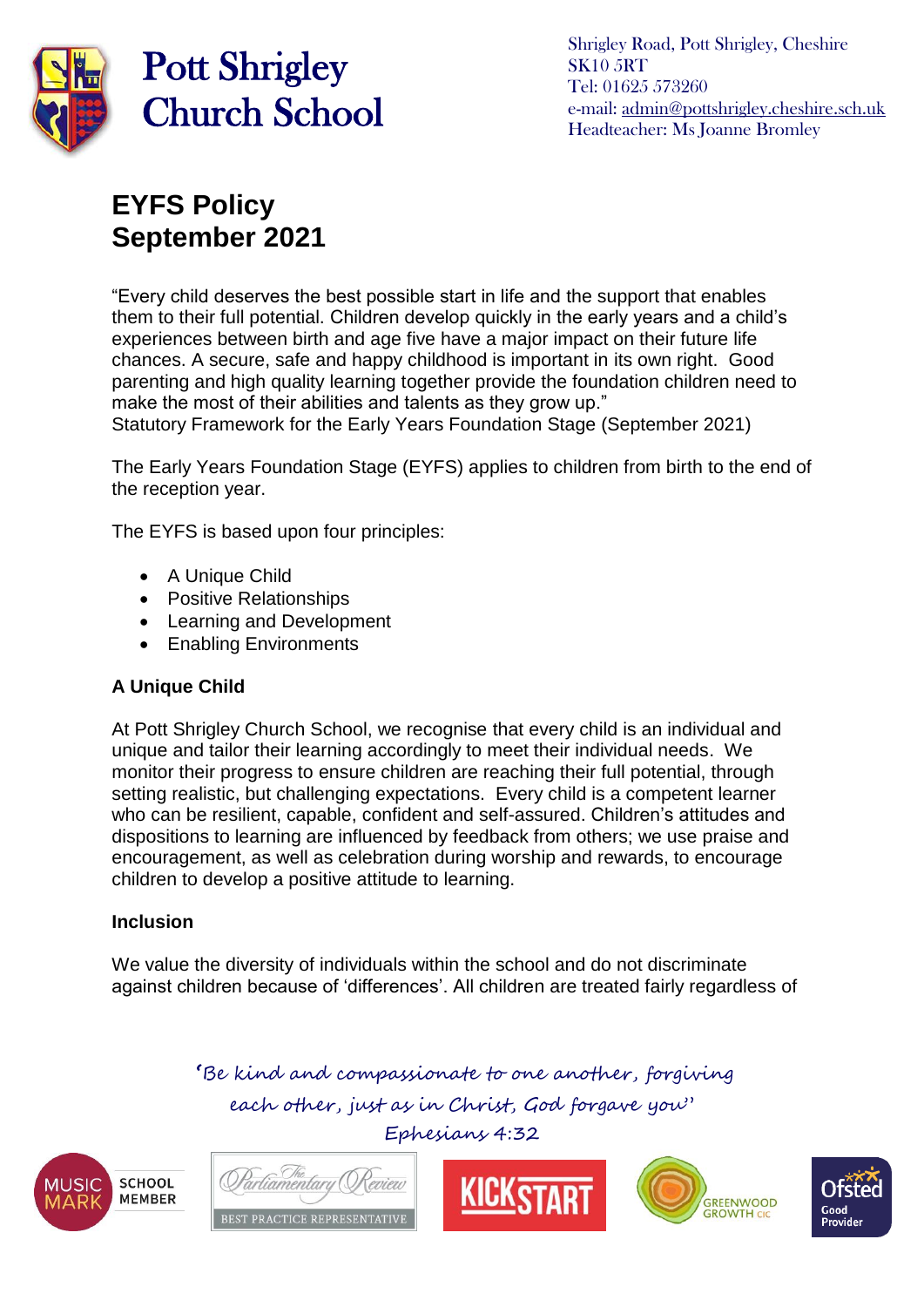

Shrigley Road, Pott Shrigley, Cheshire SK10 5RT Tel: 01625 573260 e-mail: [admin@pottshrigley.cheshire.sch.uk](mailto:admin@pottshrigley.cheshire.sch.uk) Headteacher: Ms Joanne Bromley

## **EYFS Policy September 2021**

"Every child deserves the best possible start in life and the support that enables them to their full potential. Children develop quickly in the early years and a child's experiences between birth and age five have a major impact on their future life chances. A secure, safe and happy childhood is important in its own right. Good parenting and high quality learning together provide the foundation children need to make the most of their abilities and talents as they grow up." Statutory Framework for the Early Years Foundation Stage (September 2021)

The Early Years Foundation Stage (EYFS) applies to children from birth to the end of the reception year.

The EYFS is based upon four principles:

- A Unique Child
- Positive Relationships
- Learning and Development
- Enabling Environments

### **A Unique Child**

At Pott Shrigley Church School, we recognise that every child is an individual and unique and tailor their learning accordingly to meet their individual needs. We monitor their progress to ensure children are reaching their full potential, through setting realistic, but challenging expectations. Every child is a competent learner who can be resilient, capable, confident and self-assured. Children's attitudes and dispositions to learning are influenced by feedback from others; we use praise and encouragement, as well as celebration during worship and rewards, to encourage children to develop a positive attitude to learning.

### **Inclusion**

We value the diversity of individuals within the school and do not discriminate against children because of 'differences'. All children are treated fairly regardless of

> **'**Be kind and compassionate to one another, forgiving each other, just as in Christ, God forgave you"

> > Ephesians 4:32

**SCHOOL MEMBER** 







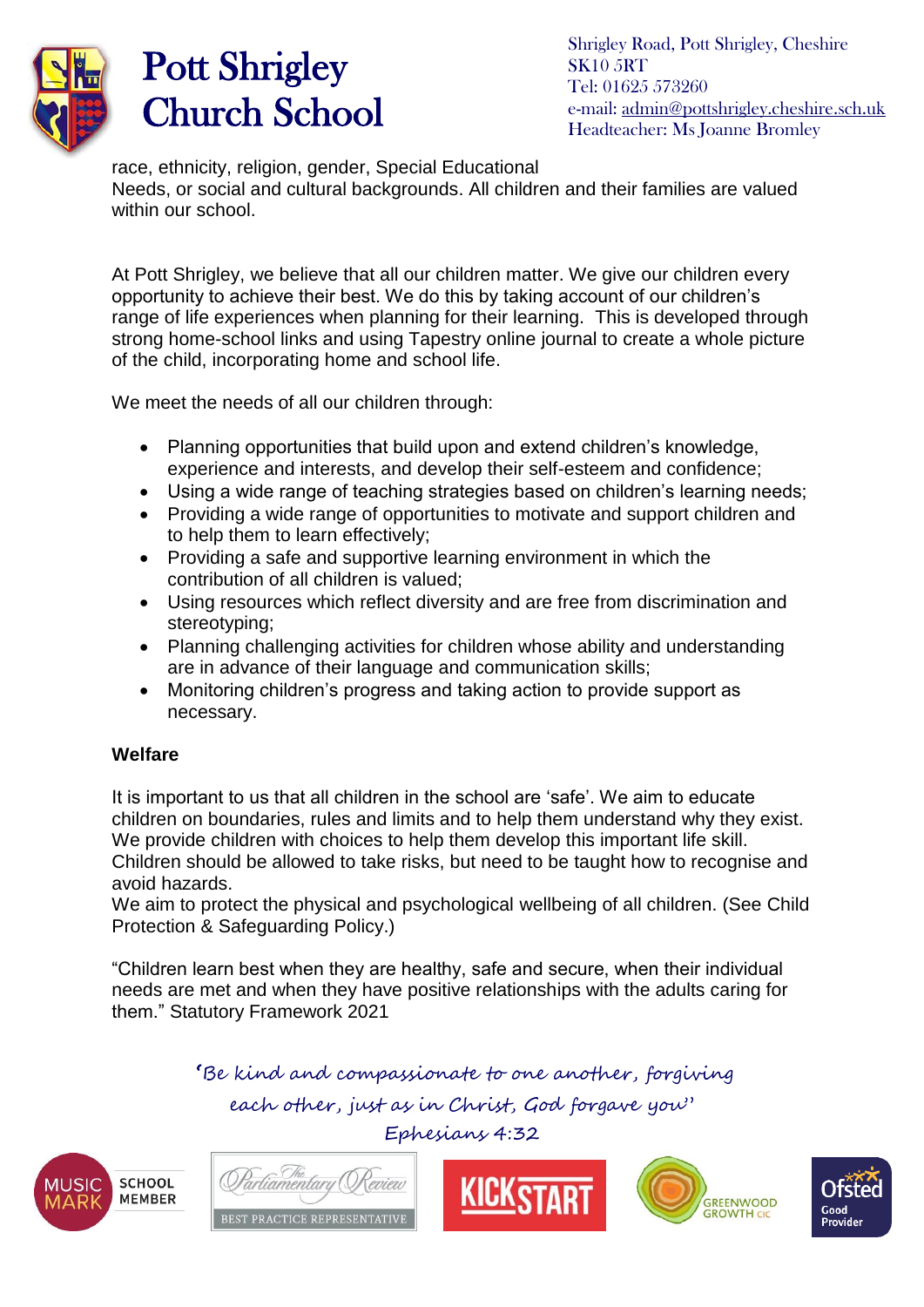

Shrigley Road, Pott Shrigley, Cheshire SK10 5RT Tel: 01625 573260 e-mail: [admin@pottshrigley.cheshire.sch.uk](mailto:admin@pottshrigley.cheshire.sch.uk) Headteacher: Ms Joanne Bromley

race, ethnicity, religion, gender, Special Educational Needs, or social and cultural backgrounds. All children and their families are valued within our school.

At Pott Shrigley, we believe that all our children matter. We give our children every opportunity to achieve their best. We do this by taking account of our children's range of life experiences when planning for their learning. This is developed through strong home-school links and using Tapestry online journal to create a whole picture of the child, incorporating home and school life.

We meet the needs of all our children through:

- Planning opportunities that build upon and extend children's knowledge, experience and interests, and develop their self-esteem and confidence;
- Using a wide range of teaching strategies based on children's learning needs;
- Providing a wide range of opportunities to motivate and support children and to help them to learn effectively;
- Providing a safe and supportive learning environment in which the contribution of all children is valued;
- Using resources which reflect diversity and are free from discrimination and stereotyping;
- Planning challenging activities for children whose ability and understanding are in advance of their language and communication skills;
- Monitoring children's progress and taking action to provide support as necessary.

### **Welfare**

It is important to us that all children in the school are 'safe'. We aim to educate children on boundaries, rules and limits and to help them understand why they exist. We provide children with choices to help them develop this important life skill. Children should be allowed to take risks, but need to be taught how to recognise and avoid hazards.

We aim to protect the physical and psychological wellbeing of all children. (See Child Protection & Safeguarding Policy.)

"Children learn best when they are healthy, safe and secure, when their individual needs are met and when they have positive relationships with the adults caring for them." Statutory Framework 2021

**'**Be kind and compassionate to one another, forgiving

each other, just as in Christ, God forgave you" Ephesians 4:32

**SCHOOL MEMBER** 







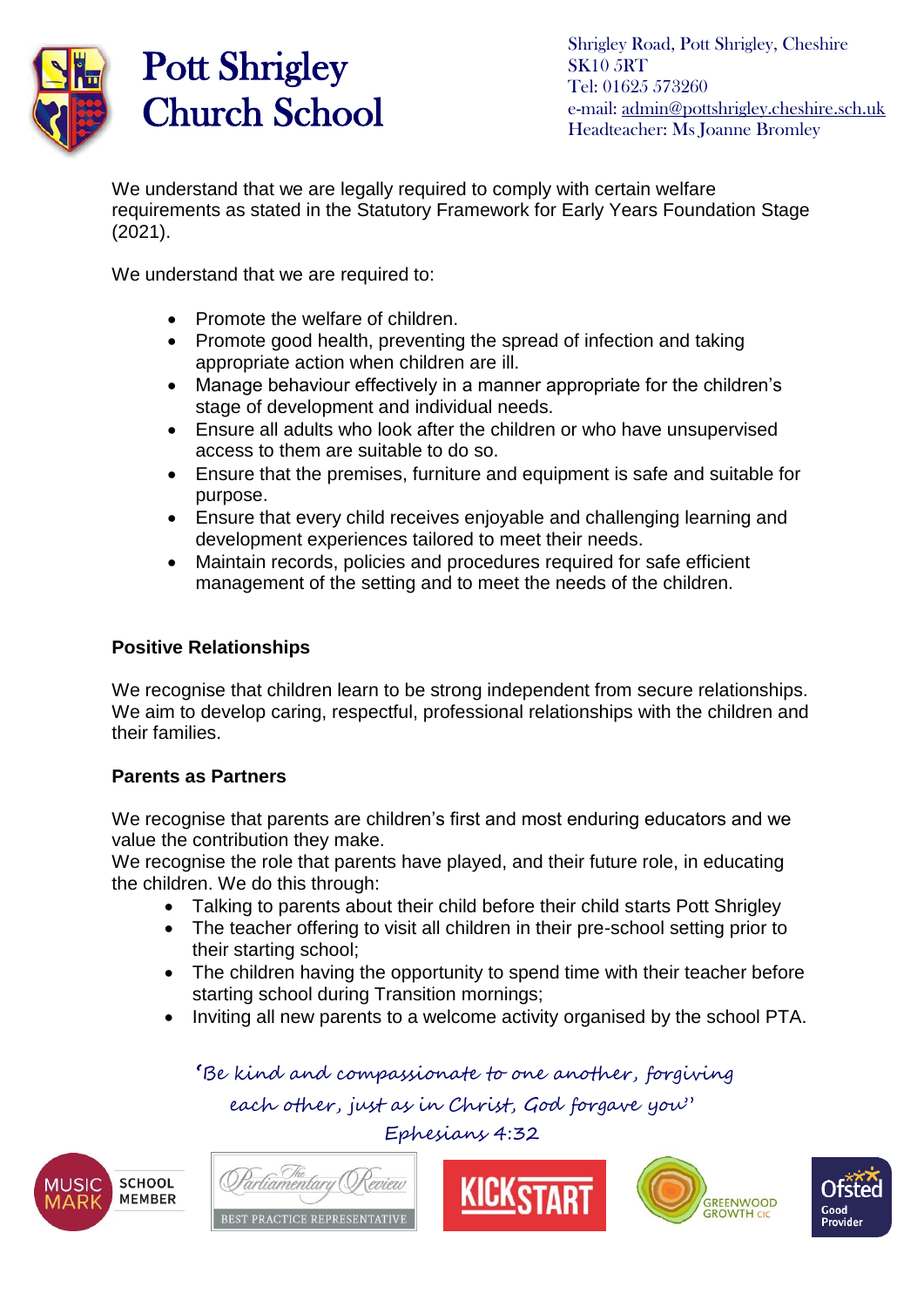

Shrigley Road, Pott Shrigley, Cheshire SK10 5RT Tel: 01625 573260 e-mail: [admin@pottshrigley.cheshire.sch.uk](mailto:admin@pottshrigley.cheshire.sch.uk) Headteacher: Ms Joanne Bromley

We understand that we are legally required to comply with certain welfare requirements as stated in the Statutory Framework for Early Years Foundation Stage (2021).

We understand that we are required to:

- Promote the welfare of children.
- Promote good health, preventing the spread of infection and taking appropriate action when children are ill.
- Manage behaviour effectively in a manner appropriate for the children's stage of development and individual needs.
- Ensure all adults who look after the children or who have unsupervised access to them are suitable to do so.
- Ensure that the premises, furniture and equipment is safe and suitable for purpose.
- Ensure that every child receives enjoyable and challenging learning and development experiences tailored to meet their needs.
- Maintain records, policies and procedures required for safe efficient management of the setting and to meet the needs of the children.

#### **Positive Relationships**

We recognise that children learn to be strong independent from secure relationships. We aim to develop caring, respectful, professional relationships with the children and their families.

### **Parents as Partners**

We recognise that parents are children's first and most enduring educators and we value the contribution they make.

We recognise the role that parents have played, and their future role, in educating the children. We do this through:

- Talking to parents about their child before their child starts Pott Shrigley
- The teacher offering to visit all children in their pre-school setting prior to their starting school;
- The children having the opportunity to spend time with their teacher before starting school during Transition mornings;
- Inviting all new parents to a welcome activity organised by the school PTA.

**'**Be kind and compassionate to one another, forgiving

each other, just as in Christ, God forgave you"

Ephesians 4:32









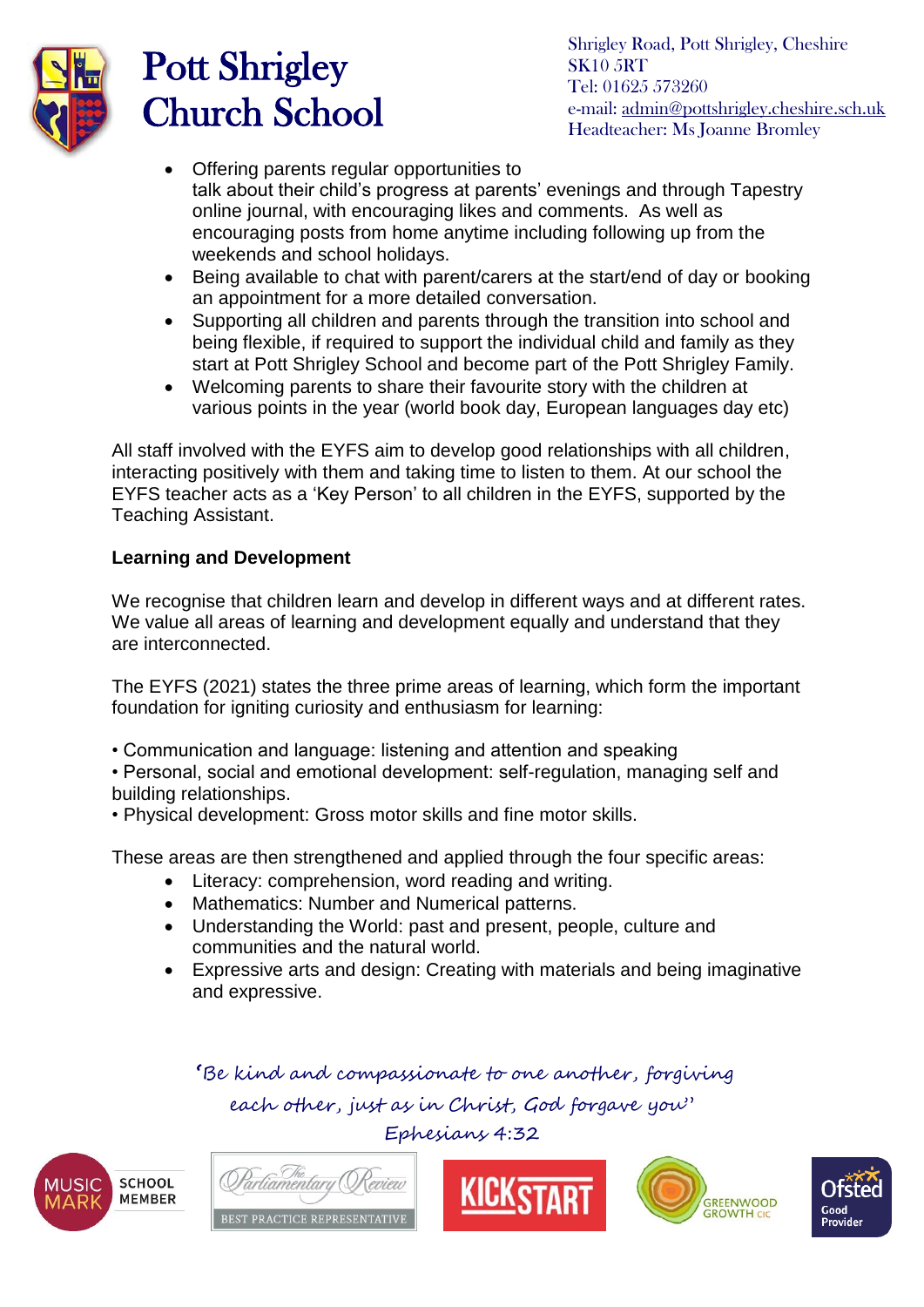

Shrigley Road, Pott Shrigley, Cheshire SK10 5RT Tel: 01625 573260 e-mail: [admin@pottshrigley.cheshire.sch.uk](mailto:admin@pottshrigley.cheshire.sch.uk) Headteacher: Ms Joanne Bromley

- Offering parents regular opportunities to talk about their child's progress at parents' evenings and through Tapestry online journal, with encouraging likes and comments. As well as encouraging posts from home anytime including following up from the weekends and school holidays.
- Being available to chat with parent/carers at the start/end of day or booking an appointment for a more detailed conversation.
- Supporting all children and parents through the transition into school and being flexible, if required to support the individual child and family as they start at Pott Shrigley School and become part of the Pott Shrigley Family.
- Welcoming parents to share their favourite story with the children at various points in the year (world book day, European languages day etc)

All staff involved with the EYFS aim to develop good relationships with all children, interacting positively with them and taking time to listen to them. At our school the EYFS teacher acts as a 'Key Person' to all children in the EYFS, supported by the Teaching Assistant.

### **Learning and Development**

We recognise that children learn and develop in different ways and at different rates. We value all areas of learning and development equally and understand that they are interconnected.

The EYFS (2021) states the three prime areas of learning, which form the important foundation for igniting curiosity and enthusiasm for learning:

• Communication and language: listening and attention and speaking

• Personal, social and emotional development: self-regulation, managing self and building relationships.

• Physical development: Gross motor skills and fine motor skills.

These areas are then strengthened and applied through the four specific areas:

- Literacy: comprehension, word reading and writing.
- Mathematics: Number and Numerical patterns.
- Understanding the World: past and present, people, culture and communities and the natural world.
- Expressive arts and design: Creating with materials and being imaginative and expressive.









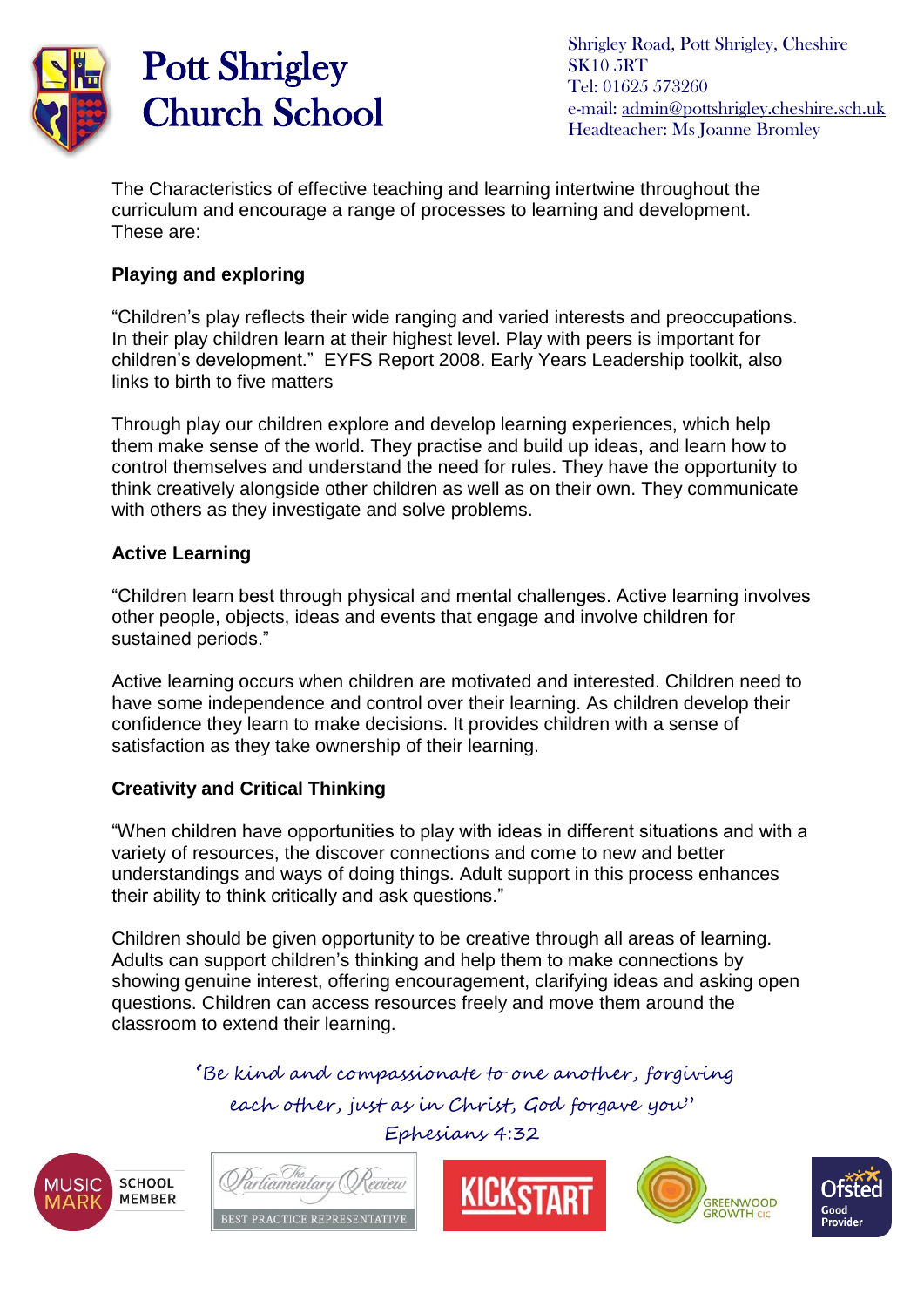

Shrigley Road, Pott Shrigley, Cheshire SK10 5RT Tel: 01625 573260 e-mail: [admin@pottshrigley.cheshire.sch.uk](mailto:admin@pottshrigley.cheshire.sch.uk) Headteacher: Ms Joanne Bromley

The Characteristics of effective teaching and learning intertwine throughout the curriculum and encourage a range of processes to learning and development. These are:

### **Playing and exploring**

"Children's play reflects their wide ranging and varied interests and preoccupations. In their play children learn at their highest level. Play with peers is important for children's development." EYFS Report 2008. Early Years Leadership toolkit, also links to birth to five matters

Through play our children explore and develop learning experiences, which help them make sense of the world. They practise and build up ideas, and learn how to control themselves and understand the need for rules. They have the opportunity to think creatively alongside other children as well as on their own. They communicate with others as they investigate and solve problems.

### **Active Learning**

"Children learn best through physical and mental challenges. Active learning involves other people, objects, ideas and events that engage and involve children for sustained periods."

Active learning occurs when children are motivated and interested. Children need to have some independence and control over their learning. As children develop their confidence they learn to make decisions. It provides children with a sense of satisfaction as they take ownership of their learning.

### **Creativity and Critical Thinking**

"When children have opportunities to play with ideas in different situations and with a variety of resources, the discover connections and come to new and better understandings and ways of doing things. Adult support in this process enhances their ability to think critically and ask questions."

Children should be given opportunity to be creative through all areas of learning. Adults can support children's thinking and help them to make connections by showing genuine interest, offering encouragement, clarifying ideas and asking open questions. Children can access resources freely and move them around the classroom to extend their learning.

**'**Be kind and compassionate to one another, forgiving

each other, just as in Christ, God forgave you" Ephesians 4:32









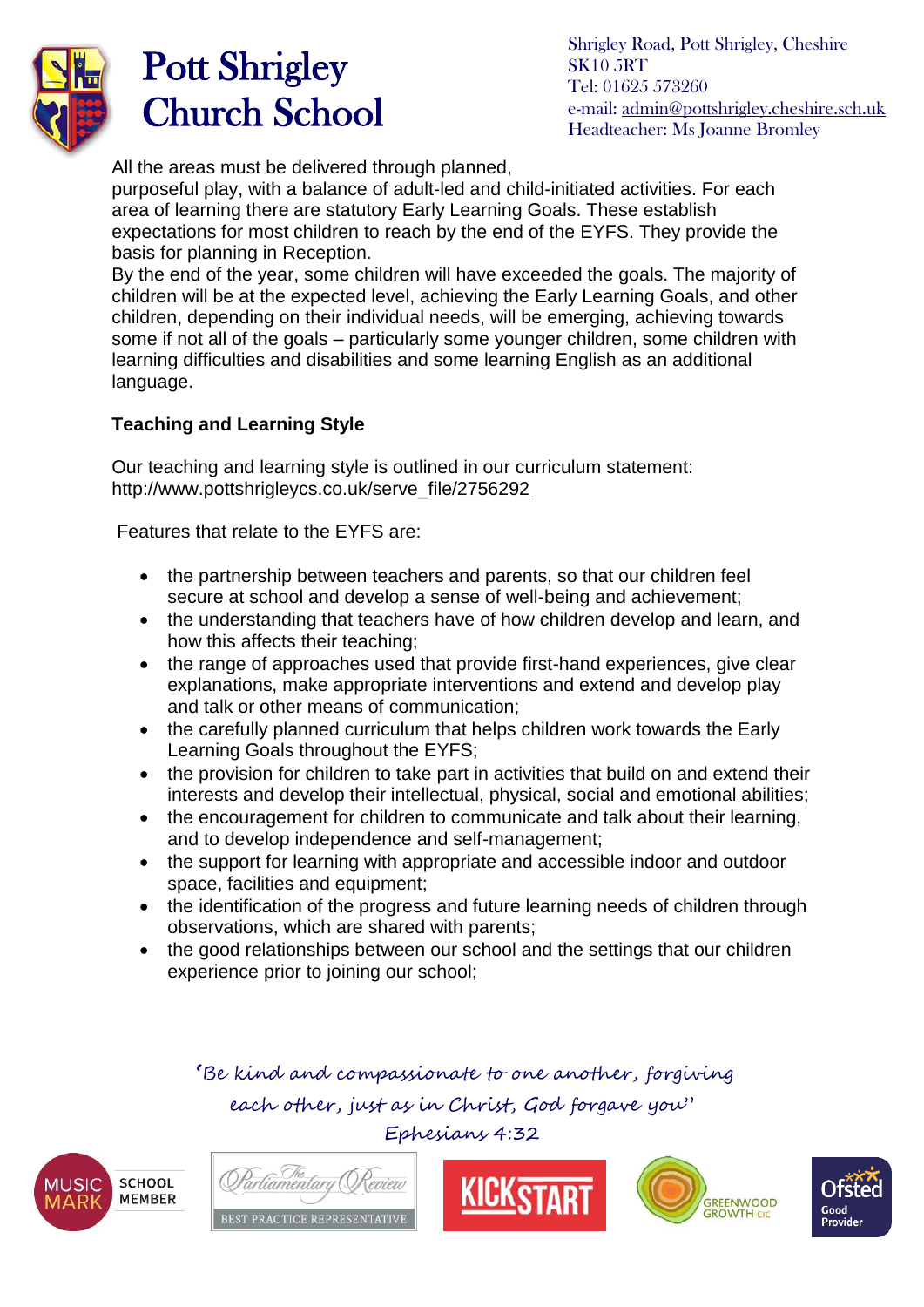

Shrigley Road, Pott Shrigley, Cheshire SK10 5RT Tel: 01625 573260 e-mail: [admin@pottshrigley.cheshire.sch.uk](mailto:admin@pottshrigley.cheshire.sch.uk) Headteacher: Ms Joanne Bromley

All the areas must be delivered through planned.

purposeful play, with a balance of adult-led and child-initiated activities. For each area of learning there are statutory Early Learning Goals. These establish expectations for most children to reach by the end of the EYFS. They provide the basis for planning in Reception.

By the end of the year, some children will have exceeded the goals. The majority of children will be at the expected level, achieving the Early Learning Goals, and other children, depending on their individual needs, will be emerging, achieving towards some if not all of the goals – particularly some younger children, some children with learning difficulties and disabilities and some learning English as an additional language.

### **Teaching and Learning Style**

Our teaching and learning style is outlined in our curriculum statement: [http://www.pottshrigleycs.co.uk/serve\\_file/2756292](http://www.pottshrigleycs.co.uk/serve_file/2756292) 

Features that relate to the EYFS are:

- the partnership between teachers and parents, so that our children feel secure at school and develop a sense of well-being and achievement;
- the understanding that teachers have of how children develop and learn, and how this affects their teaching;
- the range of approaches used that provide first-hand experiences, give clear explanations, make appropriate interventions and extend and develop play and talk or other means of communication;
- the carefully planned curriculum that helps children work towards the Early Learning Goals throughout the EYFS;
- the provision for children to take part in activities that build on and extend their interests and develop their intellectual, physical, social and emotional abilities;
- the encouragement for children to communicate and talk about their learning, and to develop independence and self-management;
- the support for learning with appropriate and accessible indoor and outdoor space, facilities and equipment:
- the identification of the progress and future learning needs of children through observations, which are shared with parents;
- the good relationships between our school and the settings that our children experience prior to joining our school;









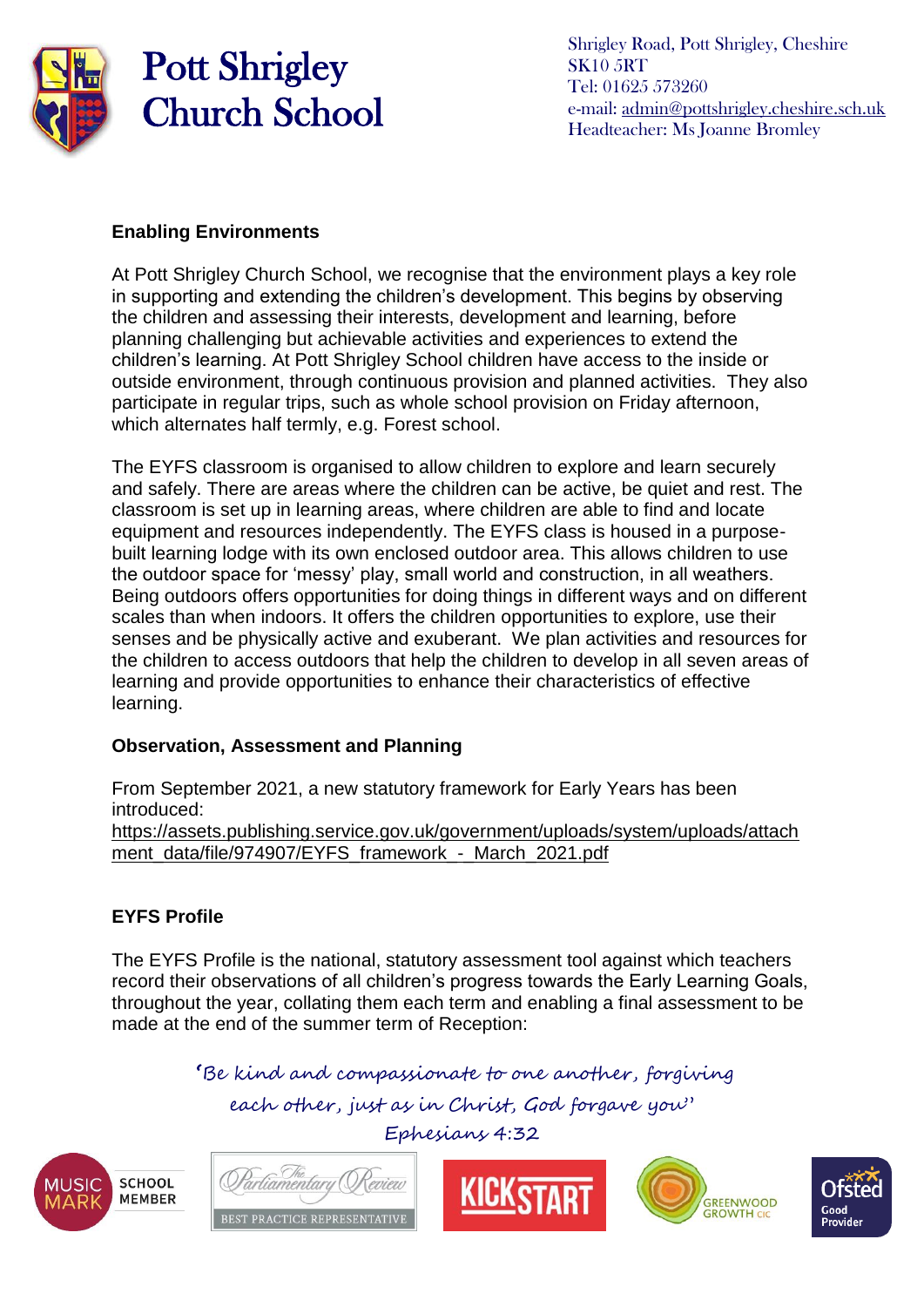

Shrigley Road, Pott Shrigley, Cheshire SK10 5RT Tel: 01625 573260 e-mail: [admin@pottshrigley.cheshire.sch.uk](mailto:admin@pottshrigley.cheshire.sch.uk) Headteacher: Ms Joanne Bromley

#### **Enabling Environments**

At Pott Shrigley Church School, we recognise that the environment plays a key role in supporting and extending the children's development. This begins by observing the children and assessing their interests, development and learning, before planning challenging but achievable activities and experiences to extend the children's learning. At Pott Shrigley School children have access to the inside or outside environment, through continuous provision and planned activities. They also participate in regular trips, such as whole school provision on Friday afternoon, which alternates half termly, e.g. Forest school.

The EYFS classroom is organised to allow children to explore and learn securely and safely. There are areas where the children can be active, be quiet and rest. The classroom is set up in learning areas, where children are able to find and locate equipment and resources independently. The EYFS class is housed in a purposebuilt learning lodge with its own enclosed outdoor area. This allows children to use the outdoor space for 'messy' play, small world and construction, in all weathers. Being outdoors offers opportunities for doing things in different ways and on different scales than when indoors. It offers the children opportunities to explore, use their senses and be physically active and exuberant. We plan activities and resources for the children to access outdoors that help the children to develop in all seven areas of learning and provide opportunities to enhance their characteristics of effective learning.

### **Observation, Assessment and Planning**

rligmentary

BEST PRACTICE REPRESENTATIVE

From September 2021, a new statutory framework for Early Years has been introduced:

[https://assets.publishing.service.gov.uk/government/uploads/system/uploads/attach](https://assets.publishing.service.gov.uk/government/uploads/system/uploads/attachment_data/file/974907/EYFS_framework_-_March_2021.pdf) ment\_data/file/974907/EYFS\_framework - March\_2021.pdf

### **EYFS Profile**

The EYFS Profile is the national, statutory assessment tool against which teachers record their observations of all children's progress towards the Early Learning Goals, throughout the year, collating them each term and enabling a final assessment to be made at the end of the summer term of Reception:

**'**Be kind and compassionate to one another, forgiving

each other, just as in Christ, God forgave you"









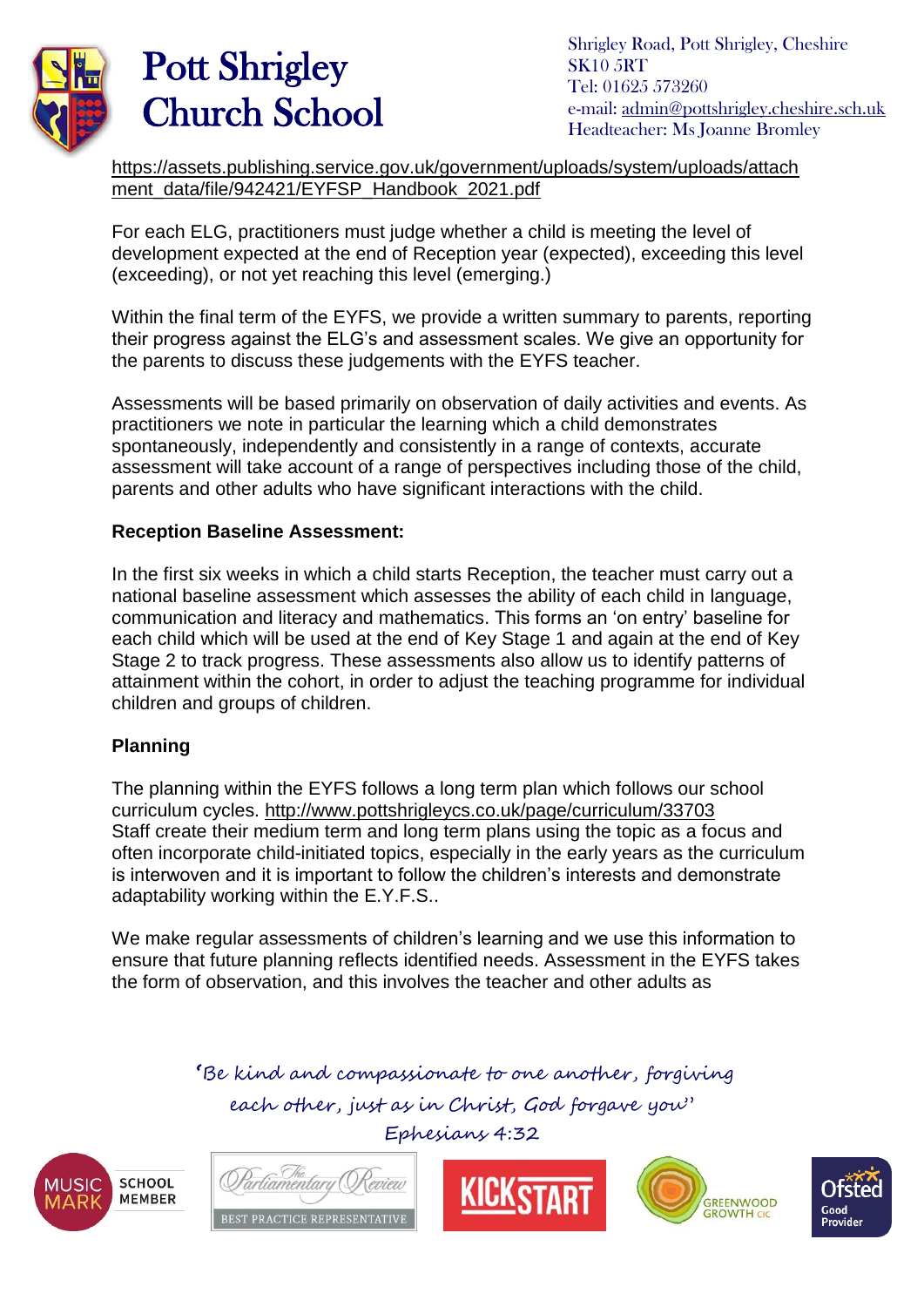

Shrigley Road, Pott Shrigley, Cheshire SK10 5RT Tel: 01625 573260 e-mail: [admin@pottshrigley.cheshire.sch.uk](mailto:admin@pottshrigley.cheshire.sch.uk) Headteacher: Ms Joanne Bromley

[https://assets.publishing.service.gov.uk/government/uploads/system/uploads/attach](https://assets.publishing.service.gov.uk/government/uploads/system/uploads/attachment_data/file/942421/EYFSP_Handbook_2021.pdf) [ment\\_data/file/942421/EYFSP\\_Handbook\\_2021.pdf](https://assets.publishing.service.gov.uk/government/uploads/system/uploads/attachment_data/file/942421/EYFSP_Handbook_2021.pdf)

For each ELG, practitioners must judge whether a child is meeting the level of development expected at the end of Reception year (expected), exceeding this level (exceeding), or not yet reaching this level (emerging.)

Within the final term of the EYFS, we provide a written summary to parents, reporting their progress against the ELG's and assessment scales. We give an opportunity for the parents to discuss these judgements with the EYFS teacher.

Assessments will be based primarily on observation of daily activities and events. As practitioners we note in particular the learning which a child demonstrates spontaneously, independently and consistently in a range of contexts, accurate assessment will take account of a range of perspectives including those of the child, parents and other adults who have significant interactions with the child.

#### **Reception Baseline Assessment:**

In the first six weeks in which a child starts Reception, the teacher must carry out a national baseline assessment which assesses the ability of each child in language, communication and literacy and mathematics. This forms an 'on entry' baseline for each child which will be used at the end of Key Stage 1 and again at the end of Key Stage 2 to track progress. These assessments also allow us to identify patterns of attainment within the cohort, in order to adjust the teaching programme for individual children and groups of children.

#### **Planning**

The planning within the EYFS follows a long term plan which follows our school curriculum cycles.<http://www.pottshrigleycs.co.uk/page/curriculum/33703> Staff create their medium term and long term plans using the topic as a focus and often incorporate child-initiated topics, especially in the early years as the curriculum is interwoven and it is important to follow the children's interests and demonstrate adaptability working within the E.Y.F.S..

We make regular assessments of children's learning and we use this information to ensure that future planning reflects identified needs. Assessment in the EYFS takes the form of observation, and this involves the teacher and other adults as